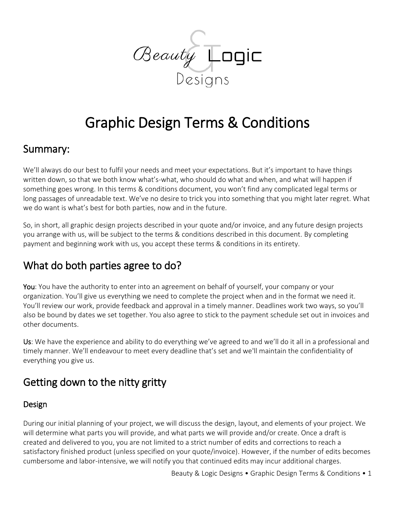

# Graphic Design Terms & Conditions

### Summary:

We'll always do our best to fulfil your needs and meet your expectations. But it's important to have things written down, so that we both know what's-what, who should do what and when, and what will happen if something goes wrong. In this terms & conditions document, you won't find any complicated legal terms or long passages of unreadable text. We've no desire to trick you into something that you might later regret. What we do want is what's best for both parties, now and in the future.

So, in short, all graphic design projects described in your quote and/or invoice, and any future design projects you arrange with us, will be subject to the terms & conditions described in this document. By completing payment and beginning work with us, you accept these terms & conditions in its entirety.

## What do both parties agree to do?

You: You have the authority to enter into an agreement on behalf of yourself, your company or your organization. You'll give us everything we need to complete the project when and in the format we need it. You'll review our work, provide feedback and approval in a timely manner. Deadlines work two ways, so you'll also be bound by dates we set together. You also agree to stick to the payment schedule set out in invoices and other documents.

Us: We have the experience and ability to do everything we've agreed to and we'll do it all in a professional and timely manner. We'll endeavour to meet every deadline that's set and we'll maintain the confidentiality of everything you give us.

## Getting down to the nitty gritty

#### Design

During our initial planning of your project, we will discuss the design, layout, and elements of your project. We will determine what parts you will provide, and what parts we will provide and/or create. Once a draft is created and delivered to you, you are not limited to a strict number of edits and corrections to reach a satisfactory finished product (unless specified on your quote/invoice). However, if the number of edits becomes cumbersome and labor-intensive, we will notify you that continued edits may incur additional charges.

Beauty & Logic Designs • Graphic Design Terms & Conditions • 1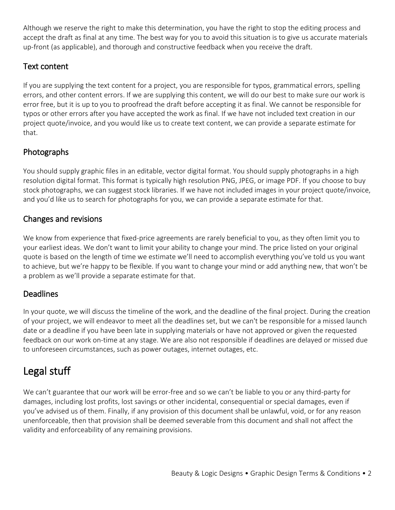Although we reserve the right to make this determination, you have the right to stop the editing process and accept the draft as final at any time. The best way for you to avoid this situation is to give us accurate materials up-front (as applicable), and thorough and constructive feedback when you receive the draft.

#### Text content

If you are supplying the text content for a project, you are responsible for typos, grammatical errors, spelling errors, and other content errors. If we are supplying this content, we will do our best to make sure our work is error free, but it is up to you to proofread the draft before accepting it as final. We cannot be responsible for typos or other errors after you have accepted the work as final. If we have not included text creation in our project quote/invoice, and you would like us to create text content, we can provide a separate estimate for that.

#### Photographs

You should supply graphic files in an editable, vector digital format. You should supply photographs in a high resolution digital format. This format is typically high resolution PNG, JPEG, or image PDF. If you choose to buy stock photographs, we can suggest stock libraries. If we have not included images in your project quote/invoice, and you'd like us to search for photographs for you, we can provide a separate estimate for that.

#### Changes and revisions

We know from experience that fixed-price agreements are rarely beneficial to you, as they often limit you to your earliest ideas. We don't want to limit your ability to change your mind. The price listed on your original quote is based on the length of time we estimate we'll need to accomplish everything you've told us you want to achieve, but we're happy to be flexible. If you want to change your mind or add anything new, that won't be a problem as we'll provide a separate estimate for that.

#### Deadlines

In your quote, we will discuss the timeline of the work, and the deadline of the final project. During the creation of your project, we will endeavor to meet all the deadlines set, but we can't be responsible for a missed launch date or a deadline if you have been late in supplying materials or have not approved or given the requested feedback on our work on-time at any stage. We are also not responsible if deadlines are delayed or missed due to unforeseen circumstances, such as power outages, internet outages, etc.

### Legal stuff

We can't guarantee that our work will be error-free and so we can't be liable to you or any third-party for damages, including lost profits, lost savings or other incidental, consequential or special damages, even if you've advised us of them. Finally, if any provision of this document shall be unlawful, void, or for any reason unenforceable, then that provision shall be deemed severable from this document and shall not affect the validity and enforceability of any remaining provisions.